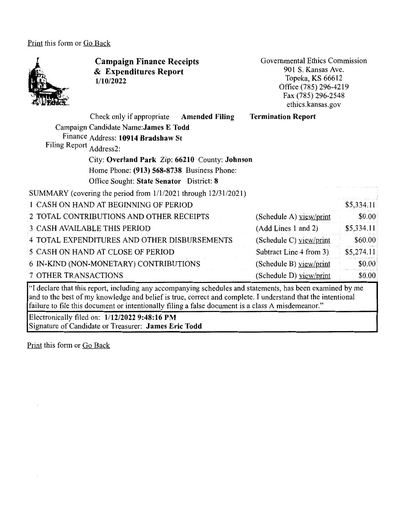Print this form or Go Back



**Campaign Finance Receipts**  & **Expenditures Report 1/10/2022** 

Governmental Ethics Commission 901 S. Kansas Ave. Topeka, KS 66612 Office (785) 296-4219 Fax(785)296-2548 ethics.kansas.gov

|                             | Check only if appropriate                                      | <b>Amended Filing</b> | <b>Termination Report</b> |            |  |  |
|-----------------------------|----------------------------------------------------------------|-----------------------|---------------------------|------------|--|--|
|                             | Campaign Candidate Name: James E Todd                          |                       |                           |            |  |  |
|                             | Finance Address: 10914 Bradshaw St                             |                       |                           |            |  |  |
| <b>Filing Report</b>        | Address2:                                                      |                       |                           |            |  |  |
|                             | City: Overland Park Zip: 66210 County: Johnson                 |                       |                           |            |  |  |
|                             | Home Phone: (913) 568-8738 Business Phone:                     |                       |                           |            |  |  |
|                             | Office Sought: State Senator District: 8                       |                       |                           |            |  |  |
|                             | SUMMARY (covering the period from 1/1/2021 through 12/31/2021) |                       |                           |            |  |  |
|                             | 1 CASH ON HAND AT BEGINNING OF PERIOD                          |                       |                           | \$5,334.11 |  |  |
|                             | 2 TOTAL CONTRIBUTIONS AND OTHER RECEIPTS                       |                       | (Schedule A) view/print   | \$0.00     |  |  |
|                             | 3 CASH AVAILABLE THIS PERIOD                                   |                       | (Add Lines 1 and 2)       | \$5,334.11 |  |  |
|                             | 4 TOTAL EXPENDITURES AND OTHER DISBURSEMENTS                   |                       | (Schedule C) view/print   | \$60.00    |  |  |
|                             | 5 CASH ON HAND AT CLOSE OF PERIOD                              |                       | Subtract Line 4 from 3)   | \$5,274.11 |  |  |
|                             | 6 IN-KIND (NON-MONETARY) CONTRIBUTIONS                         |                       | (Schedule B) view/print   | \$0.00     |  |  |
| <b>7 OTHER TRANSACTIONS</b> |                                                                |                       | (Schedule D) yiew/print   | \$0.00     |  |  |

"I declare that this report, including any accompanying schedules and statements, has been examined by me and to the best of my knowledge and belief is true, correct and complete. I understand that the intentional failure to file this document or intentionally filing a false document is a class A misdemeanor."

Electronically filed on: **1/12/2022 9:48:16 PM**  Signature of Candidate or Treasurer: **James Eric Todd** 

Print this form or Go Back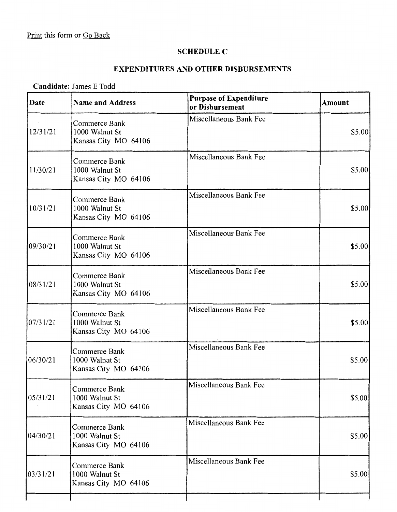$\sim 10^7$ 

## **SCHEDULE C**

## **EXPENDITURES AND OTHER DISBURSEMENTS**

## **Candidate:** James E Todd

| Commerce Bank<br>1000 Walnut St<br>Kansas City MO 64106<br><b>Commerce Bank</b> | Miscellaneous Bank Fee | \$5.00  |
|---------------------------------------------------------------------------------|------------------------|---------|
|                                                                                 |                        |         |
| Kansas City MO 64106                                                            | Miscellaneous Bank Fee | \$5.00  |
| Commerce Bank<br>1000 Walnut St<br>Kansas City MO 64106                         | Miscellaneous Bank Fee | \$5.00  |
| Commerce Bank<br>1000 Walnut St<br>Kansas City MO 64106                         | Miscellaneous Bank Fee | \$5.00  |
| Commerce Bank<br>1000 Walnut St<br>Kansas City MO 64106                         | Miscellaneous Bank Fee | \$5.00  |
| Commerce Bank<br>1000 Walnut St<br>Kansas City MO 64106                         | Miscellaneous Bank Fee | \$5.00  |
| Commerce Bank<br>1000 Walnut St<br>Kansas City MO 64106                         | Miscellaneous Bank Fee | \$5.00  |
| Commerce Bank<br>1000 Walnut St<br>Kansas City MO 64106                         | Miscellaneous Bank Fee | \$5.00  |
| Commerce Bank<br>1000 Walnut St<br>Kansas City MO 64106                         | Miscellaneous Bank Fee | \$5.00] |
| Commerce Bank<br>1000 Walnut St<br>Kansas City MO 64106                         | Miscellaneous Bank Fee | \$5.00  |
|                                                                                 | 1000 Walnut St         |         |